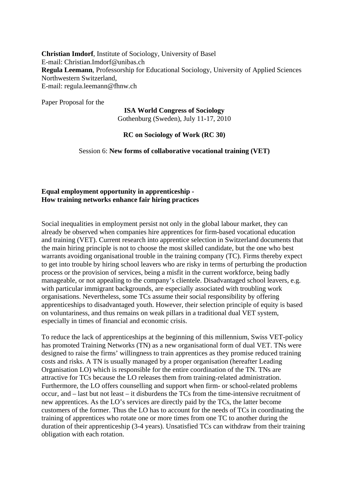**Christian Imdorf**, Institute of Sociology, University of Basel E-mail: Christian.Imdorf@unibas.ch **Regula Leemann**, Professorship for Educational Sociology, University of Applied Sciences Northwestern Switzerland, E-mail: regula.leemann@fhnw.ch

Paper Proposal for the

## **ISA World Congress of Sociology**  Gothenburg (Sweden), July 11-17, 2010

## **RC on Sociology of Work (RC 30)**

Session 6: **New forms of collaborative vocational training (VET)**

## **Equal employment opportunity in apprenticeship - How training networks enhance fair hiring practices**

Social inequalities in employment persist not only in the global labour market, they can already be observed when companies hire apprentices for firm-based vocational education and training (VET). Current research into apprentice selection in Switzerland documents that the main hiring principle is not to choose the most skilled candidate, but the one who best warrants avoiding organisational trouble in the training company (TC). Firms thereby expect to get into trouble by hiring school leavers who are risky in terms of perturbing the production process or the provision of services, being a misfit in the current workforce, being badly manageable, or not appealing to the company's clientele. Disadvantaged school leavers, e.g. with particular immigrant backgrounds, are especially associated with troubling work organisations. Nevertheless, some TCs assume their social responsibility by offering apprenticeships to disadvantaged youth. However, their selection principle of equity is based on voluntariness, and thus remains on weak pillars in a traditional dual VET system, especially in times of financial and economic crisis.

To reduce the lack of apprenticeships at the beginning of this millennium, Swiss VET-policy has promoted Training Networks (TN) as a new organisational form of dual VET. TNs were designed to raise the firms' willingness to train apprentices as they promise reduced training costs and risks. A TN is usually managed by a proper organisation (hereafter Leading Organisation LO) which is responsible for the entire coordination of the TN. TNs are attractive for TCs because the LO releases them from training-related administration. Furthermore, the LO offers counselling and support when firm- or school-related problems occur, and – last but not least – it disburdens the TCs from the time-intensive recruitment of new apprentices. As the LO's services are directly paid by the TCs, the latter become customers of the former. Thus the LO has to account for the needs of TCs in coordinating the training of apprentices who rotate one or more times from one TC to another during the duration of their apprenticeship (3-4 years). Unsatisfied TCs can withdraw from their training obligation with each rotation.